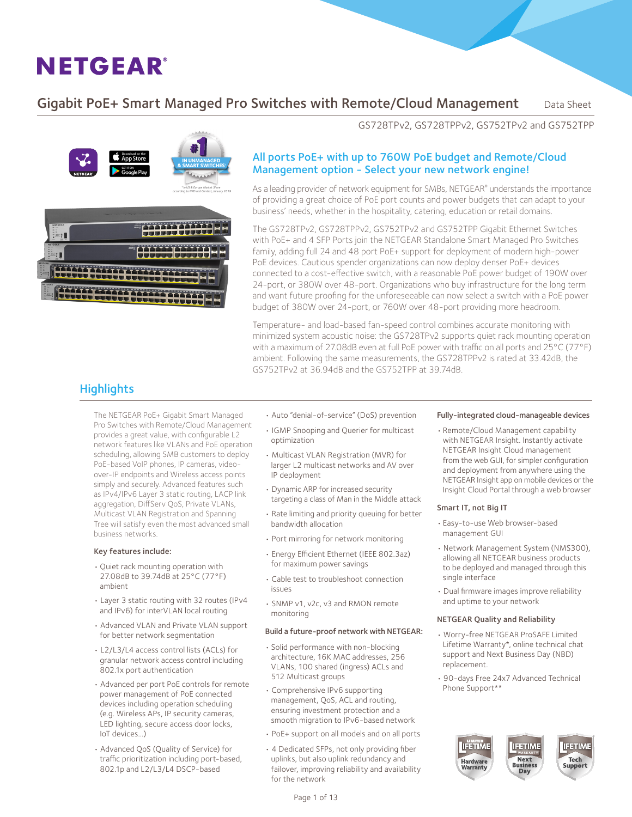### Gigabit PoE+ Smart Managed Pro Switches with Remote/Cloud Management Data Sheet



GS728TPv2, GS728TPPv2, GS752TPv2 and GS752TPP

#### All ports PoE+ with up to 760W PoE budget and Remote/Cloud Management option - Select your new network engine!

As a leading provider of network equipment for SMBs, NETGEAR® understands the importance of providing a great choice of PoE port counts and power budgets that can adapt to your business' needs, whether in the hospitality, catering, education or retail domains.

The GS728TPv2, GS728TPPv2, GS752TPv2 and GS752TPP Gigabit Ethernet Switches with PoE+ and 4 SFP Ports join the NETGEAR Standalone Smart Managed Pro Switches family, adding full 24 and 48 port PoE+ support for deployment of modern high-power PoE devices. Cautious spender organizations can now deploy denser PoE+ devices connected to a cost-effective switch, with a reasonable PoE power budget of 190W over 24-port, or 380W over 48-port. Organizations who buy infrastructure for the long term and want future proofing for the unforeseeable can now select a switch with a PoE power budget of 380W over 24-port, or 760W over 48-port providing more headroom.

Temperature- and load-based fan-speed control combines accurate monitoring with minimized system acoustic noise: the GS728TPv2 supports quiet rack mounting operation with a maximum of 27.08dB even at full PoE power with traffic on all ports and 25°C (77°F) ambient. Following the same measurements, the GS728TPPv2 is rated at 33.42dB, the GS752TPv2 at 36.94dB and the GS752TPP at 39.74dB.

### **Highlights**

The NETGEAR PoE+ Gigabit Smart Managed Pro Switches with Remote/Cloud Management provides a great value, with configurable L2 network features like VLANs and PoE operation scheduling, allowing SMB customers to deploy PoE-based VoIP phones, IP cameras, videoover-IP endpoints and Wireless access points simply and securely. Advanced features such as IPv4/IPv6 Layer 3 static routing, LACP link aggregation, DiffServ QoS, Private VLANs, Multicast VLAN Registration and Spanning Tree will satisfy even the most advanced small business networks.

#### Key features include:

- • Quiet rack mounting operation with 27.08dB to 39.74dB at 25°C (77°F) ambient
- Layer 3 static routing with 32 routes (IPv4 and IPv6) for interVLAN local routing
- Advanced VLAN and Private VLAN support for better network segmentation
- L2/L3/L4 access control lists (ACLs) for granular network access control including 802.1x port authentication
- Advanced per port PoE controls for remote power management of PoE connected devices including operation scheduling (e.g. Wireless APs, IP security cameras, LED lighting, secure access door locks, IoT devices…)
- Advanced QoS (Quality of Service) for traffic prioritization including port-based, 802.1p and L2/L3/L4 DSCP-based
- Auto "denial-of-service" (DoS) prevention
- IGMP Snooping and Querier for multicast optimization
- Multicast VLAN Registration (MVR) for larger L2 multicast networks and AV over IP deployment
- Dynamic ARP for increased security targeting a class of Man in the Middle attack
- Rate limiting and priority queuing for better bandwidth allocation
- Port mirroring for network monitoring
- Energy Efficient Ethernet (IEEE 802.3az) for maximum power savings
- Cable test to troubleshoot connection issues
- SNMP v1, v2c, v3 and RMON remote monitoring

#### Build a future-proof network with NETGEAR:

- • Solid performance with non-blocking architecture, 16K MAC addresses, 256 VLANs, 100 shared (ingress) ACLs and 512 Multicast groups
- Comprehensive IPv6 supporting management, QoS, ACL and routing, ensuring investment protection and a smooth migration to IPv6-based network
- PoE+ support on all models and on all ports
- 4 Dedicated SFPs, not only providing fiber uplinks, but also uplink redundancy and failover, improving reliability and availability for the network

#### Fully-integrated cloud-manageable devices

• Remote/Cloud Management capability with NETGEAR Insight. Instantly activate NETGEAR Insight Cloud management from the web GUI, for simpler configuration and deployment from anywhere using the NETGEAR Insight app on mobile devices or the Insight Cloud Portal through a web browser

#### Smart IT, not Big IT

- • Easy-to-use Web browser-based management GUI
- Network Management System (NMS300), allowing all NETGEAR business products to be deployed and managed through this single interface
- Dual firmware images improve reliability and uptime to your network

#### NETGEAR Quality and Reliability

- Worry-free NETGEAR ProSAFE Limited Lifetime Warranty\*, online technical chat support and Next Business Day (NBD) replacement.
- 90-days Free 24x7 Advanced Technical Phone Support\*\*

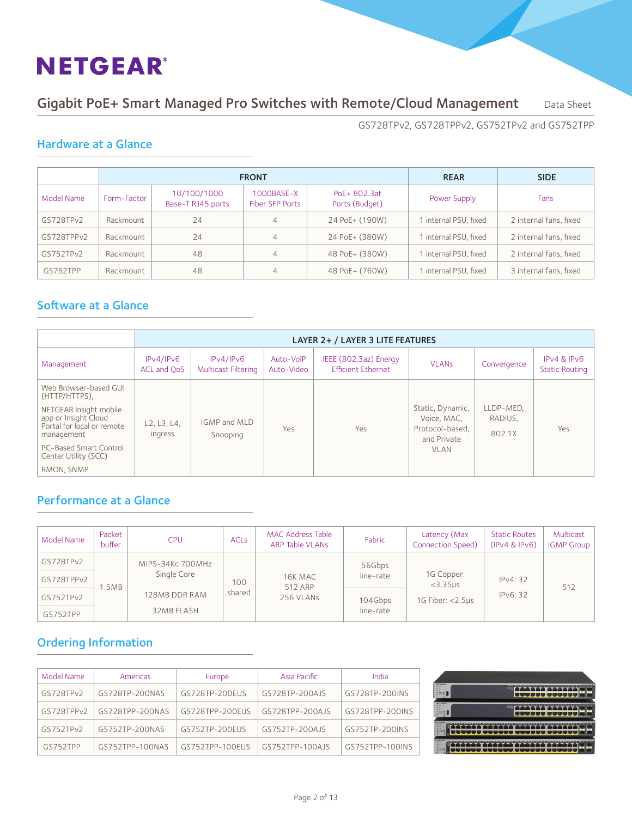### Gigabit PoE+ Smart Managed Pro Switches with Remote/Cloud Management Data Sheet

GS728TPv2, GS728TPPv2, GS752TPv2 and GS752TPP

### Hardware at a Glance

|            |             | <b>FRONT</b>                     | <b>REAR</b>                      | <b>SIDE</b>                    |                       |                        |
|------------|-------------|----------------------------------|----------------------------------|--------------------------------|-----------------------|------------------------|
| Model Name | Form-Factor | 10/100/1000<br>Base-T RJ45 ports | $1000$ BASE-X<br>Fiber SFP Ports | PoE+ 802.3at<br>Ports (Budget) | Power Supply          | Fans                   |
| GS728TPv2  | Rackmount   | 24                               | 4                                | 24 PoE+ (190W)                 | 1 internal PSU, fixed | 2 internal fans, fixed |
| GS728TPPv2 | Rackmount   | 24                               | 4                                | 24 PoE+ (380W)                 | 1 internal PSU, fixed | 2 internal fans, fixed |
| GS752TPv2  | Rackmount   | 48                               | 4                                | 48 PoE+ (380W)                 | 1 internal PSU, fixed | 2 internal fans, fixed |
| GS752TPP   | Rackmount   | 48                               | 4                                | 48 PoE+ (760W)                 | 1 internal PSU, fixed | 3 internal fans, fixed |

### Software at a Glance

|                                                                                            | LAYER 2+ / LAYER 3 LITE FEATURES |                                         |                         |                                                    |                                                                   |                                |                                      |  |
|--------------------------------------------------------------------------------------------|----------------------------------|-----------------------------------------|-------------------------|----------------------------------------------------|-------------------------------------------------------------------|--------------------------------|--------------------------------------|--|
| Management                                                                                 | IPv4/IPv6<br>ACL and OoS         | IPv4/IPv6<br><b>Multicast Filtering</b> | Auto-VolP<br>Auto-Video | IEEE (802.3az) Energy<br><b>Efficient Ethernet</b> | <b>VLAN<sub>s</sub></b>                                           | Convergence                    | IPv4 & IPv6<br><b>Static Routing</b> |  |
| Web Browser-based GUI<br>(HTTP/HTTPS),                                                     |                                  |                                         |                         |                                                    |                                                                   |                                |                                      |  |
| NETGEAR Insight mobile<br>app or Insight Cloud<br>Portal for local or remote<br>management | L2, L3, L4,<br>ingress           | IGMP and MLD<br>Snooping                | Yes                     | Yes                                                | Static, Dynamic,<br>Voice, MAC,<br>Protocol-based.<br>and Private | LLDP-MED.<br>RADIUS,<br>802.1X | Yes                                  |  |
| PC-Based Smart Control<br>Center Utility (SCC)                                             |                                  |                                         |                         |                                                    | <b>VLAN</b>                                                       |                                |                                      |  |
| RMON, SNMP                                                                                 |                                  |                                         |                         |                                                    |                                                                   |                                |                                      |  |

### Performance at a Glance

| Model Name | Packet<br>buffer | <b>CPU</b>       | <b>ACL<sub>s</sub></b> | <b>MAC Address Table</b><br>ARP Table VLANs | Fabric    | Latency (Max<br><b>Connection Speed)</b>           | <b>Static Routes</b><br>(IPv4 & IPv6) | Multicast<br><b>IGMP Group</b> |
|------------|------------------|------------------|------------------------|---------------------------------------------|-----------|----------------------------------------------------|---------------------------------------|--------------------------------|
| GS728TPv2  |                  | MIPS-34Kc 700MHz |                        |                                             | 56Gbps    |                                                    |                                       |                                |
| GS728TPPv2 |                  | Single Core      | 100                    | 16K MAC<br>512 ARP<br>256 VLANs             | line-rate | 1G Copper:<br>$<$ 3.35 $us$<br>1G Fiber: $<$ 2.5us | IPv4: 32<br>IPv6: 32                  | 512                            |
| GS752TPv2  | .5MB             | 128MB DDR RAM    | shared                 |                                             | 104Gbps   |                                                    |                                       |                                |
| GS752TPP   |                  | 32MB FLASH       |                        |                                             | line-rate |                                                    |                                       |                                |

### Ordering Information

| Model Name | Americas        | Europe          | Asia Pacific    | India           |
|------------|-----------------|-----------------|-----------------|-----------------|
| GS728TPv2  | GS728TP-200NAS  | GS728TP-200EUS  | GS728TP-200AJS  | GS728TP-200INS  |
| GS728TPPv2 | GS728TPP-200NAS | GS728TPP-200EUS | GS728TPP-200AJS | GS728TPP-200INS |
| GS752TPv2  | GS752TP-200NAS  | GS752TP-200EUS  | GS752TP-200AJS  | GS752TP-200INS  |
| GS752TPP   | GS752TPP-100NAS | GS752TPP-100EUS | GS752TPP-100AJS | GS752TPP-100INS |

|                                                                                                                  | the country of the country of the country of the country of the country of the country of the country of the country of the country of the country of the country of the country of the country of the country of the country |                                                                                                                |
|------------------------------------------------------------------------------------------------------------------|-------------------------------------------------------------------------------------------------------------------------------------------------------------------------------------------------------------------------------|----------------------------------------------------------------------------------------------------------------|
| NITOEAR<br><b>STAR</b><br>. .<br>n.2<br>取<br><b>ANY</b><br><b>Security</b>                                       | <b>TOM AN</b><br>=<br>T<br>٦.<br>┻                                                                                                                                                                                            | Pennings Gargery<br>------<br>٠<br><b>TT 10</b><br><b>AB</b><br>m<br><b>CONTRACT</b>                           |
| <b>NETGEAR</b><br>$\sim$<br>. .<br><b>MARK</b><br>三、<br>209<br>œ<br><b>Sec</b>                                   | <b>TEMPLES</b><br>30327<br>π<br>.                                                                                                                                                                                             | <b><i>ENGINEER</i></b> STATES<br>тт<br>-7<br>т<br>т<br>т<br><b>1999</b><br>u۶<br>т<br><b>Property Services</b> |
| <b>NETGEAR</b><br><b>Bill Seat</b><br><b>SILLER</b><br>$n$ K<br><b>BEL MONA</b><br>s<br>š<br>е<br>s<br>w         | <b>T T T</b><br>Ŧ<br>т<br>÷<br>Ŧ<br>т<br>т<br>٠.<br>и                                                                                                                                                                         | <b>MAIN BAPTER</b><br>۳<br><b>COLOR</b><br><b><i>Distance Antique</i></b>                                      |
| <b>NITOIAK</b><br><b>All Ave</b><br><br>$\blacksquare$<br><b>H</b> HALL<br>395<br>٠<br>е<br>ä<br><b>ALCOHOL:</b> | τ<br>┳<br>т<br>T<br>T<br>۳                                                                                                                                                                                                    |                                                                                                                |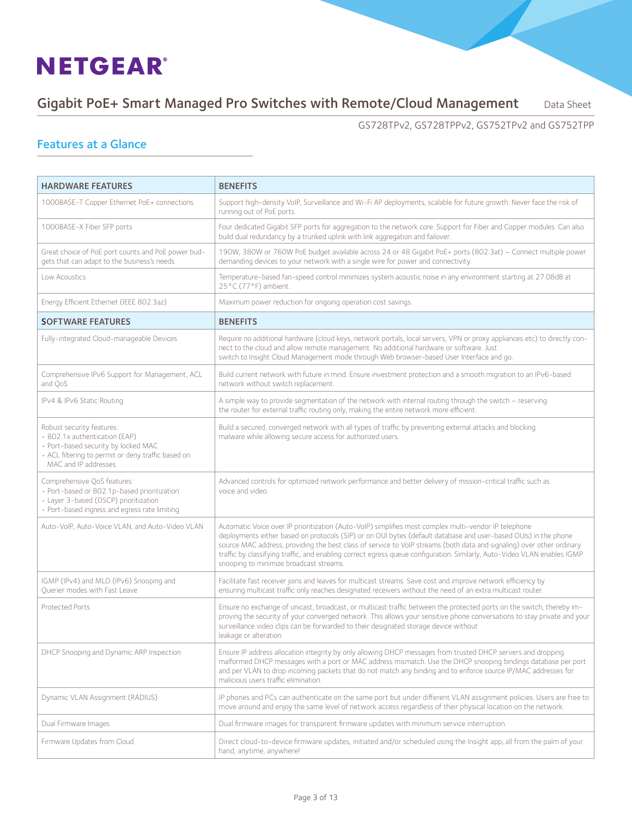### Gigabit PoE+ Smart Managed Pro Switches with Remote/Cloud Management Data Sheet

GS728TPv2, GS728TPPv2, GS752TPv2 and GS752TPP

### Features at a Glance

| <b>HARDWARE FEATURES</b>                                                                                                                                                        | <b>BENEFITS</b>                                                                                                                                                                                                                                                                                                                                                                                                                                                                                                         |
|---------------------------------------------------------------------------------------------------------------------------------------------------------------------------------|-------------------------------------------------------------------------------------------------------------------------------------------------------------------------------------------------------------------------------------------------------------------------------------------------------------------------------------------------------------------------------------------------------------------------------------------------------------------------------------------------------------------------|
| 1000BASE-T Copper Ethernet PoE+ connections                                                                                                                                     | Support high-density VoIP, Surveillance and Wi-Fi AP deployments, scalable for future growth. Never face the risk of<br>running out of PoE ports.                                                                                                                                                                                                                                                                                                                                                                       |
| 1000BASE-X Fiber SFP ports                                                                                                                                                      | Four dedicated Gigabit SFP ports for aggregation to the network core. Support for Fiber and Copper modules. Can also<br>build dual redundancy by a trunked uplink with link aggregation and failover.                                                                                                                                                                                                                                                                                                                   |
| Great choice of PoE port counts and PoE power bud-<br>gets that can adapt to the business's needs                                                                               | 190W, 380W or 760W PoE budget available across 24 or 48 Gigabit PoE+ ports (802.3at) - Connect multiple power<br>demanding devices to your network with a single wire for power and connectivity.                                                                                                                                                                                                                                                                                                                       |
| Low Acoustics                                                                                                                                                                   | Temperature-based fan-speed control minimizes system acoustic noise in any environment starting at 27.08dB at<br>25°C (77°F) ambient.                                                                                                                                                                                                                                                                                                                                                                                   |
| Energy Efficient Ethernet (IEEE 802.3az)                                                                                                                                        | Maximum power reduction for ongoing operation cost savings.                                                                                                                                                                                                                                                                                                                                                                                                                                                             |
| <b>SOFTWARE FEATURES</b>                                                                                                                                                        | <b>BENEFITS</b>                                                                                                                                                                                                                                                                                                                                                                                                                                                                                                         |
| Fully-integrated Cloud-manageable Devices                                                                                                                                       | Require no additional hardware (cloud keys, network portals, local servers, VPN or proxy appliances etc) to directly con-<br>nect to the cloud and allow remote management. No additional hardware or software. Just<br>switch to Insight Cloud Management mode through Web browser-based User Interface and go.                                                                                                                                                                                                        |
| Comprehensive IPv6 Support for Management, ACL<br>and OoS                                                                                                                       | Build current network with future in mind. Ensure investment protection and a smooth migration to an IPv6-based<br>network without switch replacement.                                                                                                                                                                                                                                                                                                                                                                  |
| IPv4 & IPv6 Static Routing                                                                                                                                                      | A simple way to provide segmentation of the network with internal routing through the switch - reserving<br>the router for external traffic routing only, making the entire network more efficient.                                                                                                                                                                                                                                                                                                                     |
| Robust security features:<br>· 802.1x authentication (EAP)<br>· Port-based security by locked MAC<br>· ACL filtering to permit or deny traffic based on<br>MAC and IP addresses | Build a secured, converged network with all types of traffic by preventing external attacks and blocking<br>malware while allowing secure access for authorized users.                                                                                                                                                                                                                                                                                                                                                  |
| Comprehensive QoS features:<br>· Port-based or 802.1p-based prioritization<br>· Layer 3-based (DSCP) prioritization<br>· Port-based ingress and egress rate limiting            | Advanced controls for optimized network performance and better delivery of mission-critical traffic such as<br>voice and video.                                                                                                                                                                                                                                                                                                                                                                                         |
| Auto-VoIP, Auto-Voice VLAN, and Auto-Video VLAN                                                                                                                                 | Automatic Voice over IP prioritization (Auto-VoIP) simplifies most complex multi-vendor IP telephone<br>deployments either based on protocols (SIP) or on OUI bytes (default database and user-based OUIs) in the phone<br>source MAC address, providing the best class of service to VoIP streams (both data and signaling) over other ordinary<br>traffic by classifying traffic, and enabling correct egress queue configuration. Similarly, Auto-Video VLAN enables IGMP<br>snooping to minimize broadcast streams. |
| IGMP (IPv4) and MLD (IPv6) Snooping and<br>Querier modes with Fast Leave                                                                                                        | Facilitate fast receiver joins and leaves for multicast streams. Save cost and improve network efficiency by<br>ensuring multicast traffic only reaches designated receivers without the need of an extra multicast router.                                                                                                                                                                                                                                                                                             |
| Protected Ports                                                                                                                                                                 | Ensure no exchange of unicast, broadcast, or multicast traffic between the protected ports on the switch, thereby im-<br>proving the security of your converged network. This allows your sensitive phone conversations to stay private and your<br>surveillance video clips can be forwarded to their designated storage device without<br>leakage or alteration.                                                                                                                                                      |
| DHCP Snooping and Dynamic ARP Inspection                                                                                                                                        | Ensure IP address allocation integrity by only allowing DHCP messages from trusted DHCP servers and dropping<br>malformed DHCP messages with a port or MAC address mismatch. Use the DHCP snooping bindings database per port<br>and per VLAN to drop incoming packets that do not match any binding and to enforce source IP/MAC addresses for<br>malicious users traffic elimination.                                                                                                                                 |
| Dynamic VLAN Assignment (RADIUS)                                                                                                                                                | IP phones and PCs can authenticate on the same port but under different VLAN assignment policies. Users are free to<br>move around and enjoy the same level of network access regardless of their physical location on the network.                                                                                                                                                                                                                                                                                     |
| Dual Firmware Images                                                                                                                                                            | Dual firmware images for transparent firmware updates with minimum service interruption.                                                                                                                                                                                                                                                                                                                                                                                                                                |
| Firmware Updates from Cloud                                                                                                                                                     | Direct cloud-to-device firmware updates, initiated and/or scheduled using the Insight app, all from the palm of your<br>hand, anytime, anywhere!                                                                                                                                                                                                                                                                                                                                                                        |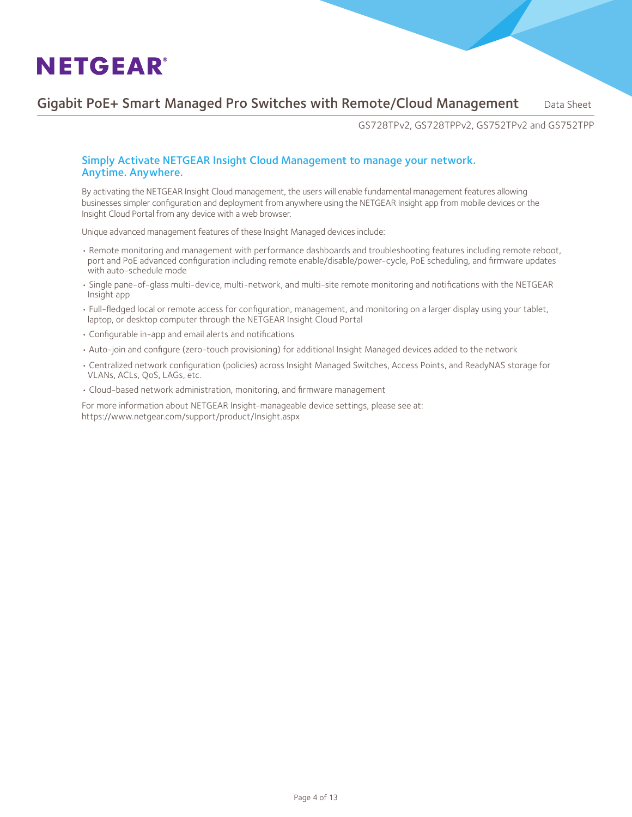### Gigabit PoE+ Smart Managed Pro Switches with Remote/Cloud Management Data Sheet

GS728TPv2, GS728TPPv2, GS752TPv2 and GS752TPP

#### Simply Activate NETGEAR Insight Cloud Management to manage your network. Anytime. Anywhere.

By activating the NETGEAR Insight Cloud management, the users will enable fundamental management features allowing businesses simpler configuration and deployment from anywhere using the NETGEAR Insight app from mobile devices or the Insight Cloud Portal from any device with a web browser.

Unique advanced management features of these Insight Managed devices include: 

- Remote monitoring and management with performance dashboards and troubleshooting features including remote reboot, port and PoE advanced configuration including remote enable/disable/power-cycle, PoE scheduling, and firmware updates with auto-schedule mode
- Single pane-of-glass multi-device, multi-network, and multi-site remote monitoring and notifications with the NETGEAR Insight app
- Full-fledged local or remote access for configuration, management, and monitoring on a larger display using your tablet, laptop, or desktop computer through the NETGEAR Insight Cloud Portal
- Configurable in-app and email alerts and notifications
- Auto-join and configure (zero-touch provisioning) for additional Insight Managed devices added to the network
- Centralized network configuration (policies) across Insight Managed Switches, Access Points, and ReadyNAS storage for VLANs, ACLs, QoS, LAGs, etc.
- Cloud-based network administration, monitoring, and firmware management

For more information about NETGEAR Insight-manageable device settings, please see at: https://www.netgear.com/support/product/Insight.aspx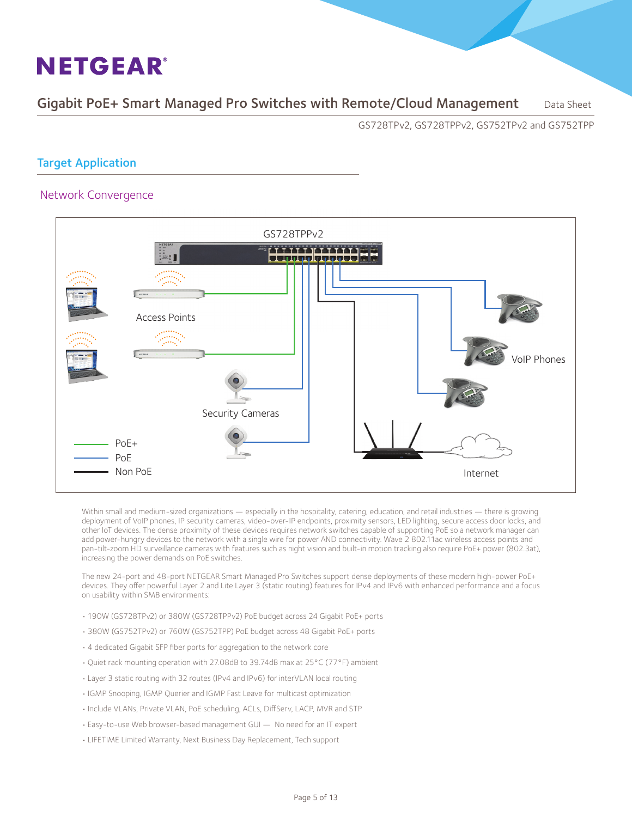Gigabit PoE+ Smart Managed Pro Switches with Remote/Cloud Management Data Sheet

GS728TPv2, GS728TPPv2, GS752TPv2 and GS752TPP

#### Target Application

#### Network Convergence



Within small and medium-sized organizations — especially in the hospitality, catering, education, and retail industries — there is growing deployment of VoIP phones, IP security cameras, video-over-IP endpoints, proximity sensors, LED lighting, secure access door locks, and other IoT devices. The dense proximity of these devices requires network switches capable of supporting PoE so a network manager can add power-hungry devices to the network with a single wire for power AND connectivity. Wave 2 802.11ac wireless access points and pan-tilt-zoom HD surveillance cameras with features such as night vision and built-in motion tracking also require PoE+ power (802.3at), increasing the power demands on PoE switches.

The new 24-port and 48-port NETGEAR Smart Managed Pro Switches support dense deployments of these modern high-power PoE+ devices. They offer powerful Layer 2 and Lite Layer 3 (static routing) features for IPv4 and IPv6 with enhanced performance and a focus on usability within SMB environments:

- 190W (GS728TPv2) or 380W (GS728TPPv2) PoE budget across 24 Gigabit PoE+ ports
- 380W (GS752TPv2) or 760W (GS752TPP) PoE budget across 48 Gigabit PoE+ ports
- 4 dedicated Gigabit SFP fiber ports for aggregation to the network core
- Quiet rack mounting operation with 27.08dB to 39.74dB max at 25°C (77°F) ambient
- Layer 3 static routing with 32 routes (IPv4 and IPv6) for interVLAN local routing
- IGMP Snooping, IGMP Querier and IGMP Fast Leave for multicast optimization
- Include VLANs, Private VLAN, PoE scheduling, ACLs, DiffServ, LACP, MVR and STP
- Easy-to-use Web browser-based management GUI No need for an IT expert
- LIFETIME Limited Warranty, Next Business Day Replacement, Tech support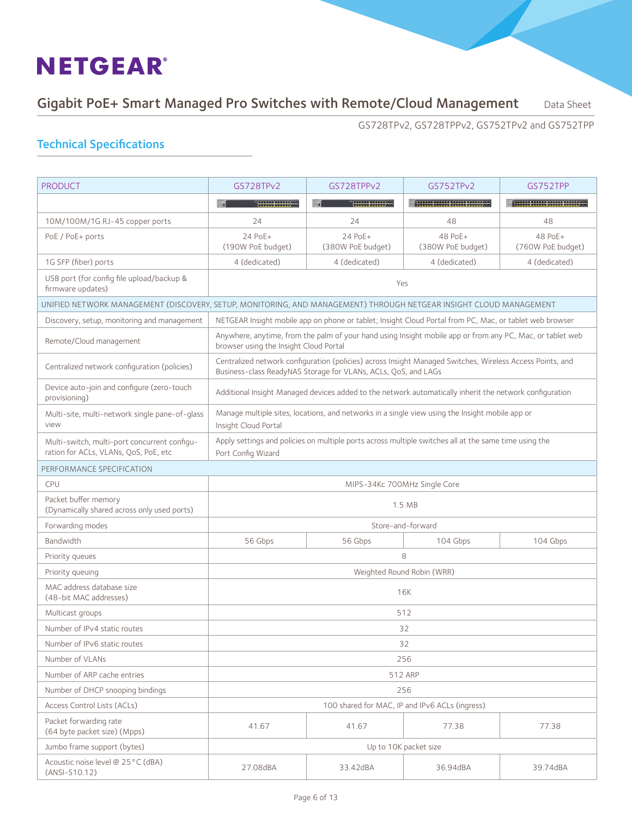### Gigabit PoE+ Smart Managed Pro Switches with Remote/Cloud Management Data Sheet

GS728TPv2, GS728TPPv2, GS752TPv2 and GS752TPP

| <b>PRODUCT</b>                                                                        | GS728TPv2                                                                                                                                           | GS728TPPv2                                                                                                                                                                  | GS752TPv2                                      | GS752TPP                                                                                   |  |  |  |
|---------------------------------------------------------------------------------------|-----------------------------------------------------------------------------------------------------------------------------------------------------|-----------------------------------------------------------------------------------------------------------------------------------------------------------------------------|------------------------------------------------|--------------------------------------------------------------------------------------------|--|--|--|
|                                                                                       |                                                                                                                                                     | annan annan 200                                                                                                                                                             | 100000000000000000000000000                    | , <b>200000 000000 000000 000000 00</b><br>  <mark>000000 000000 000000 000000 0.</mark> 0 |  |  |  |
| 10M/100M/1G RJ-45 copper ports                                                        | 24                                                                                                                                                  | 24                                                                                                                                                                          | 48                                             | 48                                                                                         |  |  |  |
| PoE / PoE+ ports                                                                      | 24 PoE+<br>(190W PoE budget)                                                                                                                        | 24 PoE+<br>(380W PoE budget)                                                                                                                                                | 48 PoE+<br>(380W PoE budget)                   | 48 PoE+<br>(760W PoE budget)                                                               |  |  |  |
| 1G SFP (fiber) ports                                                                  | 4 (dedicated)                                                                                                                                       | 4 (dedicated)                                                                                                                                                               | 4 (dedicated)                                  | 4 (dedicated)                                                                              |  |  |  |
| USB port (for config file upload/backup &<br>firmware updates)                        | Yes                                                                                                                                                 |                                                                                                                                                                             |                                                |                                                                                            |  |  |  |
|                                                                                       | UNIFIED NETWORK MANAGEMENT (DISCOVERY, SETUP, MONITORING, AND MANAGEMENT) THROUGH NETGEAR INSIGHT CLOUD MANAGEMENT                                  |                                                                                                                                                                             |                                                |                                                                                            |  |  |  |
| Discovery, setup, monitoring and management                                           | NETGEAR Insight mobile app on phone or tablet; Insight Cloud Portal from PC, Mac, or tablet web browser                                             |                                                                                                                                                                             |                                                |                                                                                            |  |  |  |
| Remote/Cloud management                                                               | Anywhere, anytime, from the palm of your hand using Insight mobile app or from any PC, Mac, or tablet web<br>browser using the Insight Cloud Portal |                                                                                                                                                                             |                                                |                                                                                            |  |  |  |
| Centralized network configuration (policies)                                          |                                                                                                                                                     | Centralized network configuration (policies) across Insight Managed Switches, Wireless Access Points, and<br>Business-class ReadyNAS Storage for VLANs, ACLs, QoS, and LAGs |                                                |                                                                                            |  |  |  |
| Device auto-join and configure (zero-touch<br>provisioning)                           |                                                                                                                                                     | Additional Insight Managed devices added to the network automatically inherit the network configuration                                                                     |                                                |                                                                                            |  |  |  |
| Multi-site, multi-network single pane-of-glass<br>view                                | Manage multiple sites, locations, and networks in a single view using the Insight mobile app or<br>Insight Cloud Portal                             |                                                                                                                                                                             |                                                |                                                                                            |  |  |  |
| Multi-switch, multi-port concurrent configu-<br>ration for ACLs, VLANs, QoS, PoE, etc | Apply settings and policies on multiple ports across multiple switches all at the same time using the<br>Port Config Wizard                         |                                                                                                                                                                             |                                                |                                                                                            |  |  |  |
| PERFORMANCE SPECIFICATION                                                             |                                                                                                                                                     |                                                                                                                                                                             |                                                |                                                                                            |  |  |  |
| <b>CPU</b>                                                                            |                                                                                                                                                     | MIPS-34Kc 700MHz Single Core                                                                                                                                                |                                                |                                                                                            |  |  |  |
| Packet buffer memory<br>(Dynamically shared across only used ports)                   |                                                                                                                                                     |                                                                                                                                                                             | 1.5 MB                                         |                                                                                            |  |  |  |
| Forwarding modes                                                                      |                                                                                                                                                     |                                                                                                                                                                             | Store-and-forward                              |                                                                                            |  |  |  |
| Bandwidth                                                                             | 56 Gbps                                                                                                                                             | 56 Gbps                                                                                                                                                                     | 104 Gbps                                       | 104 Gbps                                                                                   |  |  |  |
| Priority queues                                                                       |                                                                                                                                                     |                                                                                                                                                                             | 8                                              |                                                                                            |  |  |  |
| Priority queuing                                                                      |                                                                                                                                                     |                                                                                                                                                                             | Weighted Round Robin (WRR)                     |                                                                                            |  |  |  |
| MAC address database size<br>(48-bit MAC addresses)                                   |                                                                                                                                                     |                                                                                                                                                                             | <b>16K</b>                                     |                                                                                            |  |  |  |
| Multicast groups                                                                      |                                                                                                                                                     |                                                                                                                                                                             | 512                                            |                                                                                            |  |  |  |
| Number of IPv4 static routes                                                          |                                                                                                                                                     |                                                                                                                                                                             | 32                                             |                                                                                            |  |  |  |
| Number of IPv6 static routes                                                          |                                                                                                                                                     |                                                                                                                                                                             | 32                                             |                                                                                            |  |  |  |
| Number of VLANs                                                                       |                                                                                                                                                     |                                                                                                                                                                             | 256                                            |                                                                                            |  |  |  |
| Number of ARP cache entries                                                           |                                                                                                                                                     |                                                                                                                                                                             | 512 ARP                                        |                                                                                            |  |  |  |
| Number of DHCP snooping bindings                                                      |                                                                                                                                                     |                                                                                                                                                                             | 256                                            |                                                                                            |  |  |  |
| Access Control Lists (ACLs)                                                           |                                                                                                                                                     |                                                                                                                                                                             | 100 shared for MAC, IP and IPv6 ACLs (ingress) |                                                                                            |  |  |  |
| Packet forwarding rate<br>(64 byte packet size) (Mpps)                                | 41.67                                                                                                                                               | 41.67                                                                                                                                                                       | 77.38                                          | 77.38                                                                                      |  |  |  |
| Jumbo frame support (bytes)                                                           |                                                                                                                                                     |                                                                                                                                                                             | Up to 10K packet size                          |                                                                                            |  |  |  |
| Acoustic noise level @ 25°C (dBA)<br>$(ANSI-S10.12)$                                  | 27.08dBA                                                                                                                                            | 33.42dBA                                                                                                                                                                    | 36.94dBA                                       | 39.74dBA                                                                                   |  |  |  |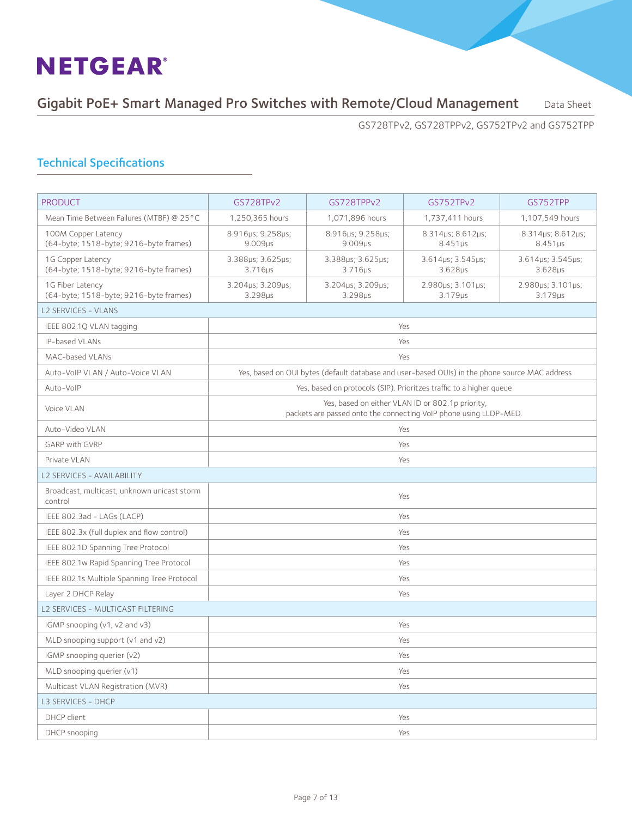Gigabit PoE+ Smart Managed Pro Switches with Remote/Cloud Management Data Sheet

GS728TPv2, GS728TPPv2, GS752TPv2 and GS752TPP

| <b>PRODUCT</b>                                                | GS728TPv2                                                                                                             | GS728TPPv2                                                                                     | GS752TPv2                           | GS752TPP                                 |  |  |
|---------------------------------------------------------------|-----------------------------------------------------------------------------------------------------------------------|------------------------------------------------------------------------------------------------|-------------------------------------|------------------------------------------|--|--|
| Mean Time Between Failures (MTBF) @ 25 °C                     | 1.250.365 hours                                                                                                       | 1,071,896 hours                                                                                | 1,737,411 hours                     | 1,107,549 hours                          |  |  |
| 100M Copper Latency<br>(64-byte; 1518-byte; 9216-byte frames) | 8.916µs; 9.258µs;<br>9.009 <sub>µs</sub>                                                                              | 8.916us; 9.258us;<br>9.009 <sub>µs</sub>                                                       | 8.314µs; 8.612µs;<br>$8.451\,\mu s$ | 8.314µs; 8.612µs;<br>$8.451\,\mu s$      |  |  |
| 1G Copper Latency<br>(64-byte; 1518-byte; 9216-byte frames)   | 3.388µs; 3.625µs;<br>$3.716\mu s$                                                                                     | 3.388µs; 3.625µs;<br>3.716us                                                                   | 3.614us; 3.545us;<br>$3.628\mu s$   | 3.614us; 3.545us;<br>3.628 <sub>µs</sub> |  |  |
| 1G Fiber Latency<br>(64-byte; 1518-byte; 9216-byte frames)    | 3.204µs; 3.209µs;<br>3.298 <sub>µs</sub>                                                                              | 3.204µs; 3.209µs;<br>3.298us                                                                   | 2.980µs; 3.101µs;<br>3.179us        | 2.980us; 3.101us;<br>$3.179\mu s$        |  |  |
| <b>L2 SERVICES - VLANS</b>                                    |                                                                                                                       |                                                                                                |                                     |                                          |  |  |
| IEEE 802.1Q VLAN tagging<br>Yes                               |                                                                                                                       |                                                                                                |                                     |                                          |  |  |
| IP-based VLANs                                                |                                                                                                                       |                                                                                                | Yes                                 |                                          |  |  |
| MAC-based VLANs                                               |                                                                                                                       |                                                                                                | Yes                                 |                                          |  |  |
| Auto-VoIP VLAN / Auto-Voice VLAN                              |                                                                                                                       | Yes, based on OUI bytes (default database and user-based OUIs) in the phone source MAC address |                                     |                                          |  |  |
| Auto-VoIP                                                     |                                                                                                                       | Yes, based on protocols (SIP). Prioritzes traffic to a higher queue                            |                                     |                                          |  |  |
| Voice VLAN                                                    | Yes, based on either VLAN ID or 802.1p priority,<br>packets are passed onto the connecting VoIP phone using LLDP-MED. |                                                                                                |                                     |                                          |  |  |
| Auto-Video VLAN                                               |                                                                                                                       |                                                                                                | Yes                                 |                                          |  |  |
| <b>GARP with GVRP</b>                                         |                                                                                                                       |                                                                                                | Yes                                 |                                          |  |  |
| Private VLAN                                                  |                                                                                                                       |                                                                                                | Yes                                 |                                          |  |  |
| <b>L2 SERVICES - AVAILABILITY</b>                             |                                                                                                                       |                                                                                                |                                     |                                          |  |  |
| Broadcast, multicast, unknown unicast storm<br>control        |                                                                                                                       |                                                                                                | Yes                                 |                                          |  |  |
| IEEE 802.3ad - LAGs (LACP)                                    |                                                                                                                       |                                                                                                | Yes                                 |                                          |  |  |
| IEEE 802.3x (full duplex and flow control)                    |                                                                                                                       |                                                                                                | Yes                                 |                                          |  |  |
| IEEE 802.1D Spanning Tree Protocol                            |                                                                                                                       |                                                                                                | Yes                                 |                                          |  |  |
| IEEE 802.1w Rapid Spanning Tree Protocol                      |                                                                                                                       |                                                                                                | Yes                                 |                                          |  |  |
| IEEE 802.1s Multiple Spanning Tree Protocol                   |                                                                                                                       |                                                                                                | Yes                                 |                                          |  |  |
| Layer 2 DHCP Relay                                            |                                                                                                                       |                                                                                                | Yes                                 |                                          |  |  |
| L2 SERVICES - MULTICAST FILTERING                             |                                                                                                                       |                                                                                                |                                     |                                          |  |  |
| IGMP snooping (v1, v2 and v3)                                 |                                                                                                                       |                                                                                                | Yes                                 |                                          |  |  |
| MLD snooping support (v1 and v2)                              |                                                                                                                       |                                                                                                | Yes                                 |                                          |  |  |
| IGMP snooping querier (v2)                                    |                                                                                                                       |                                                                                                | Yes                                 |                                          |  |  |
| MLD snooping querier (v1)                                     |                                                                                                                       |                                                                                                | Yes                                 |                                          |  |  |
| Multicast VLAN Registration (MVR)                             | Yes                                                                                                                   |                                                                                                |                                     |                                          |  |  |
| <b>L3 SERVICES - DHCP</b>                                     |                                                                                                                       |                                                                                                |                                     |                                          |  |  |
| DHCP client                                                   |                                                                                                                       |                                                                                                | Yes                                 |                                          |  |  |
| DHCP snooping                                                 | Yes                                                                                                                   |                                                                                                |                                     |                                          |  |  |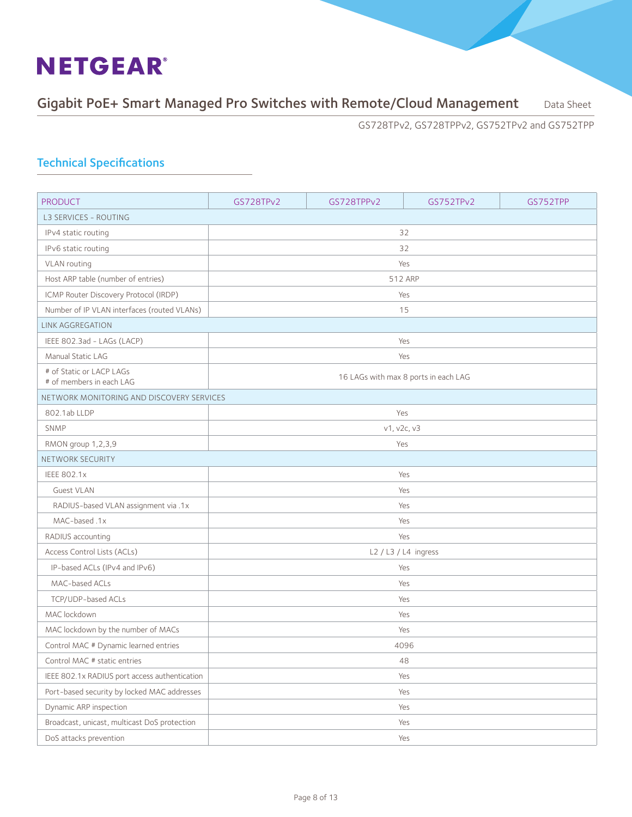### Gigabit PoE+ Smart Managed Pro Switches with Remote/Cloud Management Data Sheet

GS728TPv2, GS728TPPv2, GS752TPv2 and GS752TPP

| <b>PRODUCT</b>                                       | GS728TPv2                            | GS728TPPv2  | GS752TPv2            | GS752TPP |  |  |  |
|------------------------------------------------------|--------------------------------------|-------------|----------------------|----------|--|--|--|
| <b>L3 SERVICES - ROUTING</b>                         |                                      |             |                      |          |  |  |  |
| IPv4 static routing                                  |                                      |             | 32                   |          |  |  |  |
| IPv6 static routing                                  |                                      |             | 32                   |          |  |  |  |
| VLAN routing                                         | Yes                                  |             |                      |          |  |  |  |
| Host ARP table (number of entries)                   | 512 ARP                              |             |                      |          |  |  |  |
| ICMP Router Discovery Protocol (IRDP)                |                                      | Yes         |                      |          |  |  |  |
| Number of IP VLAN interfaces (routed VLANs)          | 15                                   |             |                      |          |  |  |  |
| <b>LINK AGGREGATION</b>                              |                                      |             |                      |          |  |  |  |
| IEEE 802.3ad - LAGs (LACP)                           |                                      |             | Yes                  |          |  |  |  |
| Manual Static LAG                                    |                                      |             | Yes                  |          |  |  |  |
| # of Static or LACP LAGs<br># of members in each LAG | 16 LAGs with max 8 ports in each LAG |             |                      |          |  |  |  |
| NETWORK MONITORING AND DISCOVERY SERVICES            |                                      |             |                      |          |  |  |  |
| 802.1ab LLDP                                         |                                      | Yes         |                      |          |  |  |  |
| <b>SNMP</b>                                          |                                      | v1, v2c, v3 |                      |          |  |  |  |
| RMON group 1,2,3,9                                   | Yes                                  |             |                      |          |  |  |  |
| NETWORK SECURITY                                     |                                      |             |                      |          |  |  |  |
| <b>IEEE 802.1x</b>                                   |                                      |             | Yes                  |          |  |  |  |
| <b>Guest VLAN</b>                                    |                                      |             | Yes                  |          |  |  |  |
| RADIUS-based VLAN assignment via .1x                 |                                      |             | Yes                  |          |  |  |  |
| MAC-based .1x                                        |                                      |             | Yes                  |          |  |  |  |
| RADIUS accounting                                    |                                      |             | Yes                  |          |  |  |  |
| Access Control Lists (ACLs)                          |                                      |             | L2 / L3 / L4 ingress |          |  |  |  |
| IP-based ACLs (IPv4 and IPv6)                        |                                      |             | Yes                  |          |  |  |  |
| MAC-based ACLs                                       |                                      |             | Yes                  |          |  |  |  |
| TCP/UDP-based ACLs                                   |                                      |             | Yes                  |          |  |  |  |
| MAC lockdown                                         |                                      |             | Yes                  |          |  |  |  |
| MAC lockdown by the number of MACs                   |                                      |             | Yes                  |          |  |  |  |
| Control MAC # Dynamic learned entries                |                                      |             | 4096                 |          |  |  |  |
| Control MAC # static entries                         |                                      |             | 48                   |          |  |  |  |
| IEEE 802.1x RADIUS port access authentication        |                                      |             | Yes                  |          |  |  |  |
| Port-based security by locked MAC addresses          |                                      |             | Yes                  |          |  |  |  |
| Dynamic ARP inspection                               |                                      |             | Yes                  |          |  |  |  |
| Broadcast, unicast, multicast DoS protection         |                                      |             | Yes                  |          |  |  |  |
| DoS attacks prevention                               | Yes                                  |             |                      |          |  |  |  |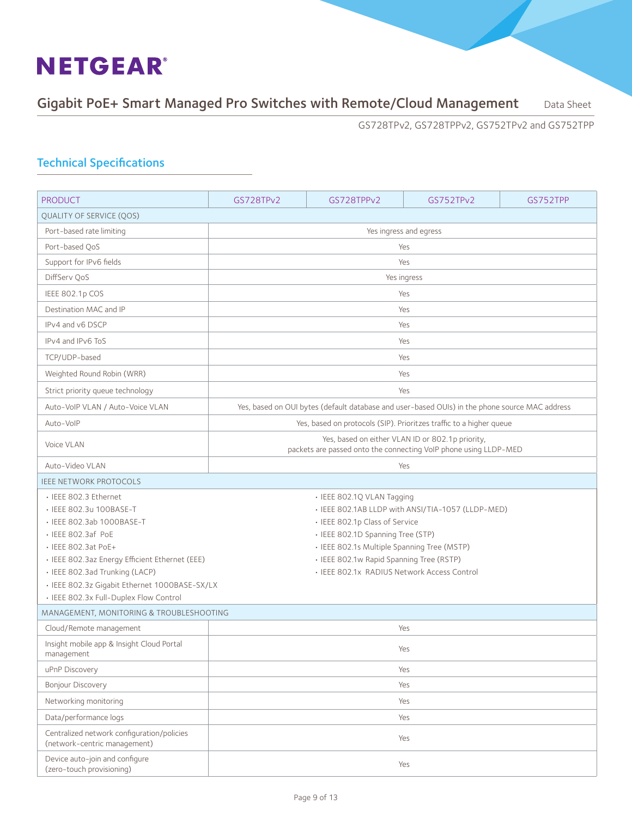### Gigabit PoE+ Smart Managed Pro Switches with Remote/Cloud Management Data Sheet

GS728TPv2, GS728TPPv2, GS752TPv2 and GS752TPP

| <b>PRODUCT</b>                                                                          | GS728TPv2                                         | GS728TPPv2                                                                                     | GS752TPv2                                        | GS752TPP |  |  |  |  |
|-----------------------------------------------------------------------------------------|---------------------------------------------------|------------------------------------------------------------------------------------------------|--------------------------------------------------|----------|--|--|--|--|
| <b>QUALITY OF SERVICE (QOS)</b>                                                         |                                                   |                                                                                                |                                                  |          |  |  |  |  |
| Port-based rate limiting                                                                |                                                   |                                                                                                | Yes ingress and egress                           |          |  |  |  |  |
| Port-based OoS                                                                          |                                                   |                                                                                                | Yes                                              |          |  |  |  |  |
| Support for IPv6 fields                                                                 |                                                   |                                                                                                | Yes                                              |          |  |  |  |  |
| DiffServ QoS                                                                            |                                                   |                                                                                                | Yes ingress                                      |          |  |  |  |  |
| IEEE 802.1p COS                                                                         | Yes                                               |                                                                                                |                                                  |          |  |  |  |  |
| Destination MAC and IP                                                                  | Yes                                               |                                                                                                |                                                  |          |  |  |  |  |
| IPv4 and v6 DSCP                                                                        | Yes                                               |                                                                                                |                                                  |          |  |  |  |  |
| IPv4 and IPv6 ToS                                                                       | Yes                                               |                                                                                                |                                                  |          |  |  |  |  |
| TCP/UDP-based                                                                           |                                                   |                                                                                                | Yes                                              |          |  |  |  |  |
| Weighted Round Robin (WRR)                                                              |                                                   |                                                                                                | Yes                                              |          |  |  |  |  |
| Strict priority queue technology                                                        |                                                   |                                                                                                | Yes                                              |          |  |  |  |  |
| Auto-VoIP VLAN / Auto-Voice VLAN                                                        |                                                   | Yes, based on OUI bytes (default database and user-based OUIs) in the phone source MAC address |                                                  |          |  |  |  |  |
| Auto-VoIP                                                                               |                                                   |                                                                                                |                                                  |          |  |  |  |  |
|                                                                                         |                                                   | Yes, based on protocols (SIP). Prioritzes traffic to a higher queue                            | Yes, based on either VLAN ID or 802.1p priority, |          |  |  |  |  |
| Voice VLAN                                                                              |                                                   | packets are passed onto the connecting VoIP phone using LLDP-MED                               |                                                  |          |  |  |  |  |
| Auto-Video VLAN<br>Yes                                                                  |                                                   |                                                                                                |                                                  |          |  |  |  |  |
| <b>IEEE NETWORK PROTOCOLS</b>                                                           |                                                   |                                                                                                |                                                  |          |  |  |  |  |
| • IEEE 802.3 Ethernet                                                                   |                                                   | · IEEE 802.1Q VLAN Tagging                                                                     |                                                  |          |  |  |  |  |
| · IEEE 802.3u 100BASE-T                                                                 | • IEEE 802.1AB LLDP with ANSI/TIA-1057 (LLDP-MED) |                                                                                                |                                                  |          |  |  |  |  |
| · IEEE 802.3ab 1000BASE-T                                                               | • IEEE 802.1p Class of Service                    |                                                                                                |                                                  |          |  |  |  |  |
| · IEEE 802.3af PoE                                                                      | • IEEE 802.1D Spanning Tree (STP)                 |                                                                                                |                                                  |          |  |  |  |  |
| • IEEE 802.3at PoE+                                                                     | · IEEE 802.1s Multiple Spanning Tree (MSTP)       |                                                                                                |                                                  |          |  |  |  |  |
| · IEEE 802.3az Energy Efficient Ethernet (EEE)                                          | · IEEE 802.1w Rapid Spanning Tree (RSTP)          |                                                                                                |                                                  |          |  |  |  |  |
| · IEEE 802.3ad Trunking (LACP)                                                          | · IEEE 802.1x RADIUS Network Access Control       |                                                                                                |                                                  |          |  |  |  |  |
| · IEEE 802.3z Gigabit Ethernet 1000BASE-SX/LX<br>· IEEE 802.3x Full-Duplex Flow Control |                                                   |                                                                                                |                                                  |          |  |  |  |  |
| MANAGEMENT, MONITORING & TROUBLESHOOTING                                                |                                                   |                                                                                                |                                                  |          |  |  |  |  |
| Cloud/Remote management                                                                 |                                                   |                                                                                                | Yes                                              |          |  |  |  |  |
| Insight mobile app & Insight Cloud Portal                                               |                                                   |                                                                                                |                                                  |          |  |  |  |  |
| management                                                                              |                                                   |                                                                                                | Yes                                              |          |  |  |  |  |
| uPnP Discovery                                                                          |                                                   |                                                                                                | Yes                                              |          |  |  |  |  |
| <b>Bonjour Discovery</b>                                                                |                                                   |                                                                                                | Yes                                              |          |  |  |  |  |
| Networking monitoring                                                                   | Yes                                               |                                                                                                |                                                  |          |  |  |  |  |
| Data/performance logs                                                                   | Yes                                               |                                                                                                |                                                  |          |  |  |  |  |
| Centralized network configuration/policies<br>(network-centric management)              |                                                   |                                                                                                | Yes                                              |          |  |  |  |  |
| Device auto-join and configure<br>(zero-touch provisioning)                             |                                                   |                                                                                                | Yes                                              |          |  |  |  |  |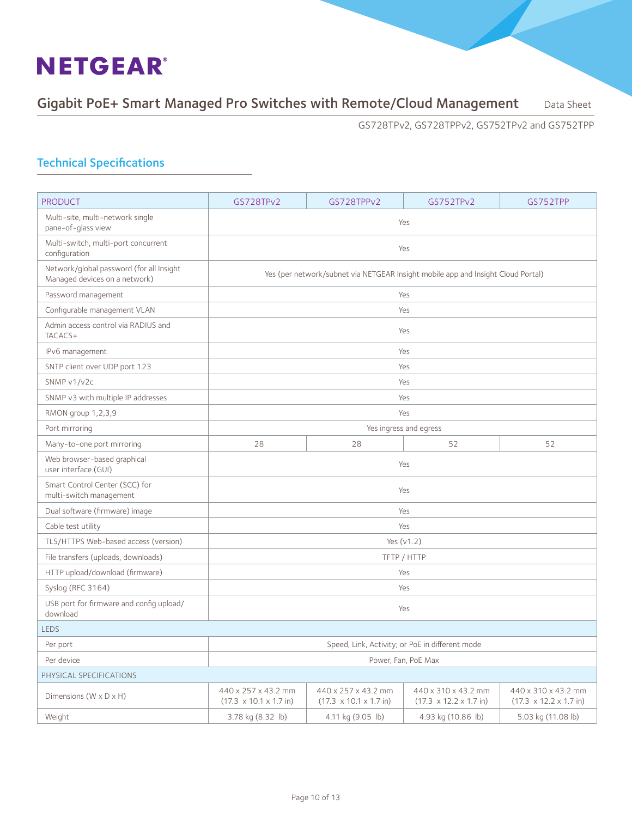### Gigabit PoE+ Smart Managed Pro Switches with Remote/Cloud Management Data Sheet

GS728TPv2, GS728TPPv2, GS752TPv2 and GS752TPP

| <b>PRODUCT</b>                                                            | GS728TPv2                                                                        | GS728TPPv2                                                        | GS752TPv2                                                         | GS752TPP                                                          |  |  |
|---------------------------------------------------------------------------|----------------------------------------------------------------------------------|-------------------------------------------------------------------|-------------------------------------------------------------------|-------------------------------------------------------------------|--|--|
| Multi-site, multi-network single<br>pane-of-glass view                    | Yes                                                                              |                                                                   |                                                                   |                                                                   |  |  |
| Multi-switch, multi-port concurrent<br>configuration                      | Yes                                                                              |                                                                   |                                                                   |                                                                   |  |  |
| Network/qlobal password (for all Insight<br>Managed devices on a network) | Yes (per network/subnet via NETGEAR Insight mobile app and Insight Cloud Portal) |                                                                   |                                                                   |                                                                   |  |  |
| Password management                                                       |                                                                                  |                                                                   | Yes                                                               |                                                                   |  |  |
| Configurable management VLAN                                              |                                                                                  |                                                                   | Yes                                                               |                                                                   |  |  |
| Admin access control via RADIUS and<br>TACACS+                            |                                                                                  |                                                                   | Yes                                                               |                                                                   |  |  |
| IPv6 management                                                           |                                                                                  |                                                                   | Yes                                                               |                                                                   |  |  |
| SNTP client over UDP port 123                                             |                                                                                  |                                                                   | Yes                                                               |                                                                   |  |  |
| SNMP v1/v2c                                                               |                                                                                  |                                                                   | Yes                                                               |                                                                   |  |  |
| SNMP v3 with multiple IP addresses                                        |                                                                                  |                                                                   | Yes                                                               |                                                                   |  |  |
| RMON group 1,2,3,9                                                        | Yes                                                                              |                                                                   |                                                                   |                                                                   |  |  |
| Port mirroring                                                            | Yes ingress and egress                                                           |                                                                   |                                                                   |                                                                   |  |  |
| Many-to-one port mirroring                                                | 28                                                                               | 28                                                                | 52                                                                | 52                                                                |  |  |
| Web browser-based graphical<br>user interface (GUI)                       |                                                                                  |                                                                   | Yes                                                               |                                                                   |  |  |
| Smart Control Center (SCC) for<br>multi-switch management                 |                                                                                  |                                                                   | Yes                                                               |                                                                   |  |  |
| Dual software (firmware) image                                            |                                                                                  |                                                                   | Yes                                                               |                                                                   |  |  |
| Cable test utility                                                        |                                                                                  |                                                                   | Yes                                                               |                                                                   |  |  |
| TLS/HTTPS Web-based access (version)                                      |                                                                                  |                                                                   | Yes $(v1.2)$                                                      |                                                                   |  |  |
| File transfers (uploads, downloads)                                       |                                                                                  |                                                                   | TFTP / HTTP                                                       |                                                                   |  |  |
| HTTP upload/download (firmware)                                           |                                                                                  |                                                                   | Yes                                                               |                                                                   |  |  |
| Syslog (RFC 3164)                                                         |                                                                                  |                                                                   | Yes                                                               |                                                                   |  |  |
| USB port for firmware and config upload/<br>download                      | Yes                                                                              |                                                                   |                                                                   |                                                                   |  |  |
| <b>LEDS</b>                                                               |                                                                                  |                                                                   |                                                                   |                                                                   |  |  |
| Per port                                                                  |                                                                                  |                                                                   | Speed, Link, Activity; or PoE in different mode                   |                                                                   |  |  |
| Per device                                                                | Power, Fan, PoE Max                                                              |                                                                   |                                                                   |                                                                   |  |  |
| PHYSICAL SPECIFICATIONS                                                   |                                                                                  |                                                                   |                                                                   |                                                                   |  |  |
| Dimensions (W x D x H)                                                    | 440 x 257 x 43.2 mm<br>$(17.3 \times 10.1 \times 1.7 \text{ in})$                | 440 x 257 x 43.2 mm<br>$(17.3 \times 10.1 \times 1.7 \text{ in})$ | 440 x 310 x 43.2 mm<br>$(17.3 \times 12.2 \times 1.7 \text{ in})$ | 440 x 310 x 43.2 mm<br>$(17.3 \times 12.2 \times 1.7 \text{ in})$ |  |  |
| Weight                                                                    | 3.78 kg (8.32 lb)                                                                | 4.11 kg (9.05 lb)                                                 | 4.93 kg (10.86 lb)                                                | 5.03 kg (11.08 lb)                                                |  |  |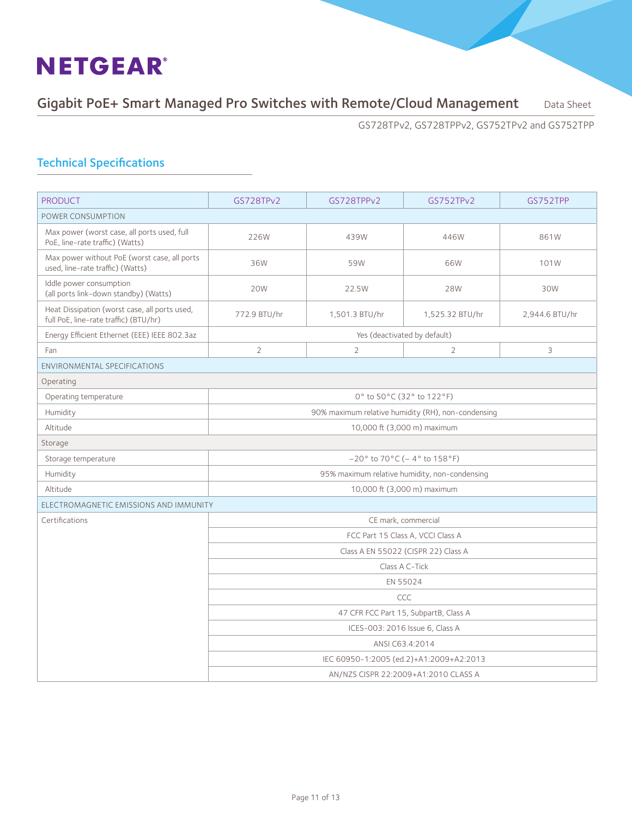### Gigabit PoE+ Smart Managed Pro Switches with Remote/Cloud Management Data Sheet

GS728TPv2, GS728TPPv2, GS752TPv2 and GS752TPP

| <b>PRODUCT</b>                                                                         | GS728TPv2                            | GS728TPPv2     | GS752TPv2                                          | GS752TPP       |  |  |
|----------------------------------------------------------------------------------------|--------------------------------------|----------------|----------------------------------------------------|----------------|--|--|
| POWER CONSUMPTION                                                                      |                                      |                |                                                    |                |  |  |
| Max power (worst case, all ports used, full<br>PoE, line-rate traffic) (Watts)         | 226W                                 | 439W           | 446W                                               | 861W           |  |  |
| Max power without PoE (worst case, all ports<br>used, line-rate traffic) (Watts)       | 36W                                  | 59W            | 66W                                                | 101W           |  |  |
| Iddle power consumption<br>(all ports link-down standby) (Watts)                       | 20W                                  | 22.5W          | 28W                                                | 30W            |  |  |
| Heat Dissipation (worst case, all ports used,<br>full PoE, line-rate traffic) (BTU/hr) | 772.9 BTU/hr                         | 1,501.3 BTU/hr | 1,525.32 BTU/hr                                    | 2,944.6 BTU/hr |  |  |
| Energy Efficient Ethernet (EEE) IEEE 802.3az                                           |                                      |                | Yes (deactivated by default)                       |                |  |  |
| Fan                                                                                    | $\overline{2}$                       | $\overline{2}$ | $\overline{2}$                                     | 3              |  |  |
| <b>ENVIRONMENTAL SPECIFICATIONS</b>                                                    |                                      |                |                                                    |                |  |  |
| Operating                                                                              |                                      |                |                                                    |                |  |  |
| Operating temperature                                                                  | 0° to 50°C (32° to 122°F)            |                |                                                    |                |  |  |
| Humidity                                                                               |                                      |                | 90% maximum relative humidity (RH), non-condensing |                |  |  |
| Altitude                                                                               |                                      |                | 10,000 ft (3,000 m) maximum                        |                |  |  |
| Storage                                                                                |                                      |                |                                                    |                |  |  |
| Storage temperature                                                                    |                                      |                | $-20^{\circ}$ to 70°C (-4° to 158°F)               |                |  |  |
| Humidity                                                                               |                                      |                | 95% maximum relative humidity, non-condensing      |                |  |  |
| Altitude                                                                               |                                      |                | 10,000 ft (3,000 m) maximum                        |                |  |  |
| ELECTROMAGNETIC EMISSIONS AND IMMUNITY                                                 |                                      |                |                                                    |                |  |  |
| Certifications                                                                         |                                      |                | CE mark, commercial                                |                |  |  |
|                                                                                        |                                      |                | FCC Part 15 Class A, VCCI Class A                  |                |  |  |
|                                                                                        |                                      |                | Class A EN 55022 (CISPR 22) Class A                |                |  |  |
|                                                                                        |                                      |                | Class A C-Tick                                     |                |  |  |
|                                                                                        |                                      |                | EN 55024                                           |                |  |  |
|                                                                                        | CCC                                  |                |                                                    |                |  |  |
|                                                                                        |                                      |                | 47 CFR FCC Part 15, SubpartB, Class A              |                |  |  |
|                                                                                        | ICES-003: 2016 Issue 6, Class A      |                |                                                    |                |  |  |
|                                                                                        |                                      |                | ANSI C63.4:2014                                    |                |  |  |
|                                                                                        |                                      |                | IEC 60950-1:2005 (ed.2)+A1:2009+A2:2013            |                |  |  |
|                                                                                        | AN/NZS CISPR 22:2009+A1:2010 CLASS A |                |                                                    |                |  |  |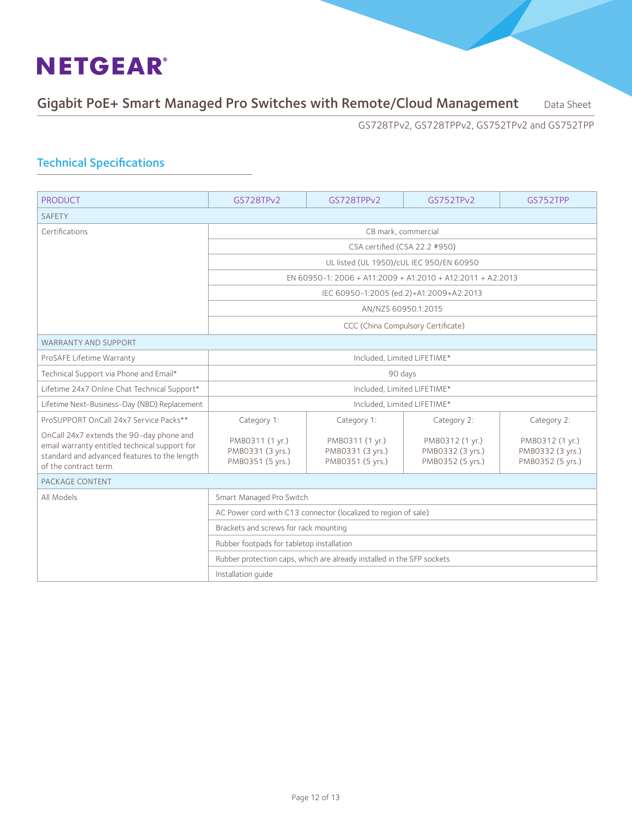### Gigabit PoE+ Smart Managed Pro Switches with Remote/Cloud Management Data Sheet

GS728TPv2, GS728TPPv2, GS752TPv2 and GS752TPP

| <b>PRODUCT</b>                                                                                                                                                     | GS728TPv2                                                                                              | GS728TPPv2                                              | GS752TPv2                                               | GS752TPP                                                |
|--------------------------------------------------------------------------------------------------------------------------------------------------------------------|--------------------------------------------------------------------------------------------------------|---------------------------------------------------------|---------------------------------------------------------|---------------------------------------------------------|
| <b>SAFETY</b>                                                                                                                                                      |                                                                                                        |                                                         |                                                         |                                                         |
| Certifications                                                                                                                                                     | CB mark, commercial                                                                                    |                                                         |                                                         |                                                         |
|                                                                                                                                                                    |                                                                                                        |                                                         | CSA certified (CSA 22.2 #950)                           |                                                         |
|                                                                                                                                                                    | UL listed (UL 1950)/cUL IEC 950/EN 60950<br>EN 60950-1: 2006 + A11:2009 + A1:2010 + A12:2011 + A2:2013 |                                                         |                                                         |                                                         |
|                                                                                                                                                                    |                                                                                                        |                                                         |                                                         |                                                         |
|                                                                                                                                                                    | IEC 60950-1:2005 (ed.2)+A1:2009+A2:2013                                                                |                                                         |                                                         |                                                         |
|                                                                                                                                                                    | AN/NZS 60950.1:2015                                                                                    |                                                         |                                                         |                                                         |
|                                                                                                                                                                    |                                                                                                        |                                                         | CCC (China Compulsory Certificate)                      |                                                         |
| <b>WARRANTY AND SUPPORT</b>                                                                                                                                        |                                                                                                        |                                                         |                                                         |                                                         |
| ProSAFE Lifetime Warranty                                                                                                                                          | Included, Limited LIFETIME*                                                                            |                                                         |                                                         |                                                         |
| Technical Support via Phone and Email*                                                                                                                             | 90 days                                                                                                |                                                         |                                                         |                                                         |
| Lifetime 24x7 Online Chat Technical Support*                                                                                                                       | Included. Limited LIFETIME*                                                                            |                                                         |                                                         |                                                         |
| Lifetime Next-Business-Day (NBD) Replacement                                                                                                                       | Included. Limited LIFETIME*                                                                            |                                                         |                                                         |                                                         |
| ProSUPPORT OnCall 24x7 Service Packs**                                                                                                                             | Category 1:                                                                                            | Category 1:                                             | Category 2:                                             | Category 2:                                             |
| OnCall 24x7 extends the 90-day phone and<br>email warranty entitled technical support for<br>standard and advanced features to the length<br>of the contract term. | PMB0311 (1 yr.)<br>PMB0331 (3 yrs.)<br>PMB0351 (5 yrs.)                                                | PMB0311 (1 yr.)<br>PMB0331 (3 yrs.)<br>PMB0351 (5 yrs.) | PMB0312 (1 yr.)<br>PMB0332 (3 yrs.)<br>PMB0352 (5 yrs.) | PMB0312 (1 yr.)<br>PMB0332 (3 yrs.)<br>PMB0352 (5 yrs.) |
| PACKAGE CONTENT                                                                                                                                                    |                                                                                                        |                                                         |                                                         |                                                         |
| All Models                                                                                                                                                         | Smart Managed Pro Switch                                                                               |                                                         |                                                         |                                                         |
|                                                                                                                                                                    | AC Power cord with C13 connector (localized to region of sale)                                         |                                                         |                                                         |                                                         |
|                                                                                                                                                                    | Brackets and screws for rack mounting                                                                  |                                                         |                                                         |                                                         |
|                                                                                                                                                                    | Rubber footpads for tabletop installation                                                              |                                                         |                                                         |                                                         |
|                                                                                                                                                                    | Rubber protection caps, which are already installed in the SFP sockets                                 |                                                         |                                                         |                                                         |
|                                                                                                                                                                    | Installation quide                                                                                     |                                                         |                                                         |                                                         |